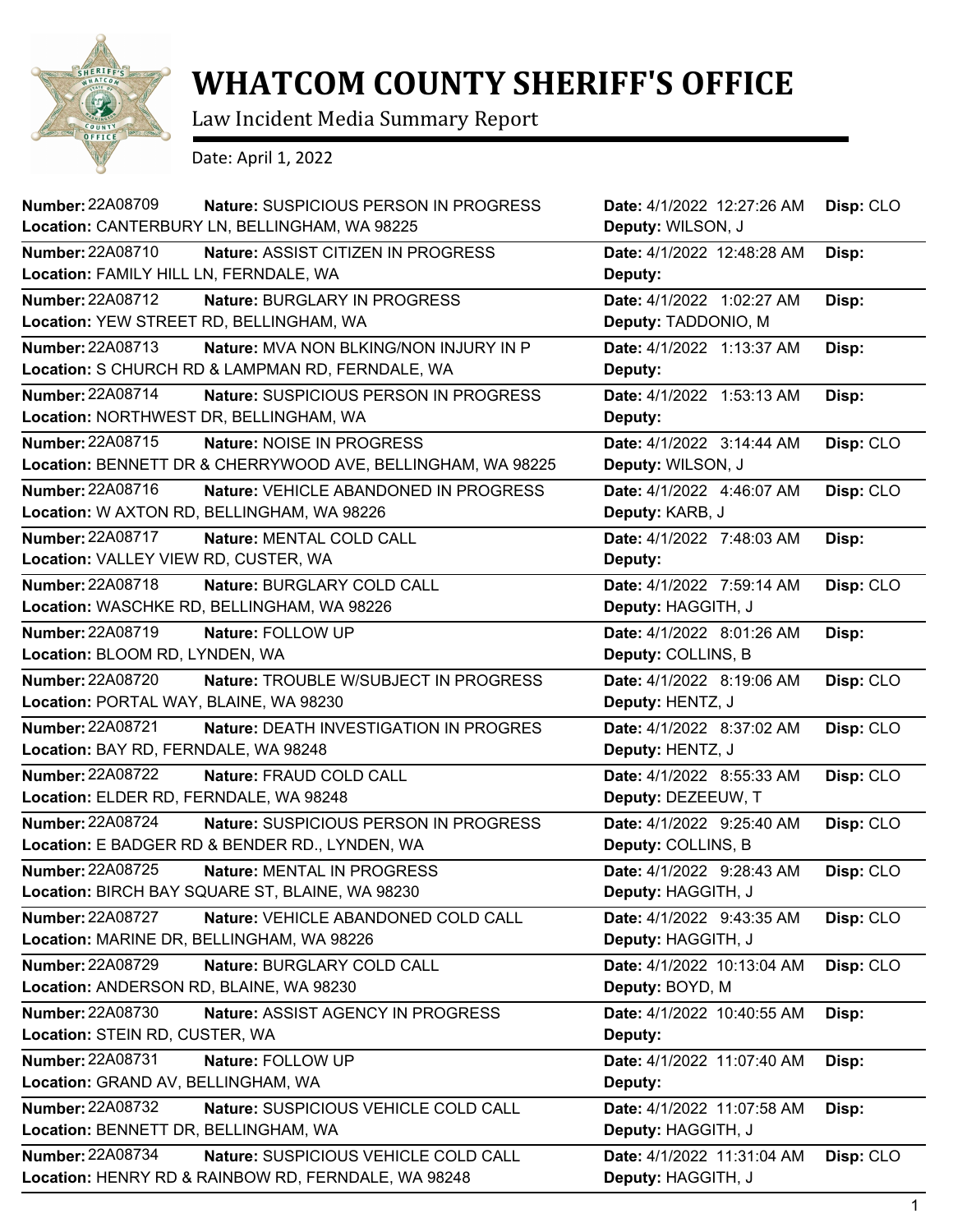

## **WHATCOM COUNTY SHERIFF'S OFFICE**

Law Incident Media Summary Report

Date: April 1, 2022

| <b>Number: 22A08709</b>                                         | <b>Nature: SUSPICIOUS PERSON IN PROGRESS</b>  | Date: 4/1/2022 12:27:26 AM | Disp: CLO |
|-----------------------------------------------------------------|-----------------------------------------------|----------------------------|-----------|
| Location: CANTERBURY LN, BELLINGHAM, WA 98225                   |                                               | Deputy: WILSON, J          |           |
| <b>Number: 22A08710</b><br>Nature: ASSIST CITIZEN IN PROGRESS   |                                               | Date: 4/1/2022 12:48:28 AM | Disp:     |
| Location: FAMILY HILL LN, FERNDALE, WA                          |                                               | Deputy:                    |           |
| <b>Number: 22A08712</b><br>Nature: BURGLARY IN PROGRESS         |                                               | Date: 4/1/2022 1:02:27 AM  | Disp:     |
| Location: YEW STREET RD, BELLINGHAM, WA                         |                                               | Deputy: TADDONIO, M        |           |
| <b>Number: 22A08713</b>                                         | <b>Nature: MVA NON BLKING/NON INJURY IN P</b> | Date: 4/1/2022 1:13:37 AM  | Disp:     |
| Location: S CHURCH RD & LAMPMAN RD, FERNDALE, WA                |                                               | Deputy:                    |           |
| Number: 22A08714                                                | Nature: SUSPICIOUS PERSON IN PROGRESS         | Date: 4/1/2022 1:53:13 AM  | Disp:     |
| Location: NORTHWEST DR, BELLINGHAM, WA                          |                                               | Deputy:                    |           |
| Number: 22A08715<br>Nature: NOISE IN PROGRESS                   |                                               | Date: 4/1/2022 3:14:44 AM  | Disp: CLO |
| Location: BENNETT DR & CHERRYWOOD AVE, BELLINGHAM, WA 98225     |                                               | Deputy: WILSON, J          |           |
| Number: 22A08716                                                | Nature: VEHICLE ABANDONED IN PROGRESS         | Date: 4/1/2022 4:46:07 AM  | Disp: CLO |
| Location: W AXTON RD, BELLINGHAM, WA 98226                      |                                               | Deputy: KARB, J            |           |
| Number: 22A08717<br>Nature: MENTAL COLD CALL                    |                                               | Date: 4/1/2022 7:48:03 AM  | Disp:     |
| Location: VALLEY VIEW RD, CUSTER, WA                            |                                               | Deputy:                    |           |
| Number: 22A08718<br>Nature: BURGLARY COLD CALL                  |                                               | Date: 4/1/2022 7:59:14 AM  | Disp: CLO |
| Location: WASCHKE RD, BELLINGHAM, WA 98226                      |                                               | Deputy: HAGGITH, J         |           |
| Number: 22A08719<br>Nature: FOLLOW UP                           |                                               | Date: 4/1/2022 8:01:26 AM  | Disp:     |
| Location: BLOOM RD, LYNDEN, WA                                  |                                               | Deputy: COLLINS, B         |           |
| <b>Number: 22A08720</b>                                         | Nature: TROUBLE W/SUBJECT IN PROGRESS         | Date: 4/1/2022 8:19:06 AM  | Disp: CLO |
| Location: PORTAL WAY, BLAINE, WA 98230                          |                                               | Deputy: HENTZ, J           |           |
| <b>Number: 22A08721</b>                                         | Nature: DEATH INVESTIGATION IN PROGRES        | Date: 4/1/2022 8:37:02 AM  | Disp: CLO |
| Location: BAY RD, FERNDALE, WA 98248                            |                                               | Deputy: HENTZ, J           |           |
| <b>Number: 22A08722</b><br>Nature: FRAUD COLD CALL              |                                               | Date: 4/1/2022 8:55:33 AM  | Disp: CLO |
| Location: ELDER RD, FERNDALE, WA 98248                          |                                               | Deputy: DEZEEUW, T         |           |
| <b>Number: 22A08724</b>                                         | Nature: SUSPICIOUS PERSON IN PROGRESS         | Date: 4/1/2022 9:25:40 AM  | Disp: CLO |
| Location: E BADGER RD & BENDER RD., LYNDEN, WA                  |                                               | Deputy: COLLINS, B         |           |
| Number: 22A08725<br>Nature: MENTAL IN PROGRESS                  |                                               | Date: 4/1/2022 9:28:43 AM  | Disp: CLO |
| Location: BIRCH BAY SQUARE ST, BLAINE, WA 98230                 |                                               | Deputy: HAGGITH, J         |           |
| Number: 22A08727<br>Nature: VEHICLE ABANDONED COLD CALL         |                                               | Date: 4/1/2022 9:43:35 AM  | Disp: CLO |
| Location: MARINE DR, BELLINGHAM, WA 98226                       |                                               | Deputy: HAGGITH, J         |           |
| Number: 22A08729<br>Nature: BURGLARY COLD CALL                  |                                               | Date: 4/1/2022 10:13:04 AM | Disp: CLO |
| Location: ANDERSON RD, BLAINE, WA 98230                         |                                               | Deputy: BOYD, M            |           |
| <b>Number: 22A08730</b><br>Nature: ASSIST AGENCY IN PROGRESS    |                                               | Date: 4/1/2022 10:40:55 AM | Disp:     |
| Location: STEIN RD, CUSTER, WA                                  |                                               | Deputy:                    |           |
| Number: 22A08731<br>Nature: FOLLOW UP                           |                                               | Date: 4/1/2022 11:07:40 AM | Disp:     |
| Location: GRAND AV, BELLINGHAM, WA                              |                                               | Deputy:                    |           |
| Number: 22A08732<br>Nature: SUSPICIOUS VEHICLE COLD CALL        |                                               | Date: 4/1/2022 11:07:58 AM | Disp:     |
| Location: BENNETT DR, BELLINGHAM, WA                            |                                               | Deputy: HAGGITH, J         |           |
| <b>Number: 22A08734</b><br>Nature: SUSPICIOUS VEHICLE COLD CALL |                                               | Date: 4/1/2022 11:31:04 AM | Disp: CLO |
| Location: HENRY RD & RAINBOW RD, FERNDALE, WA 98248             |                                               | Deputy: HAGGITH, J         |           |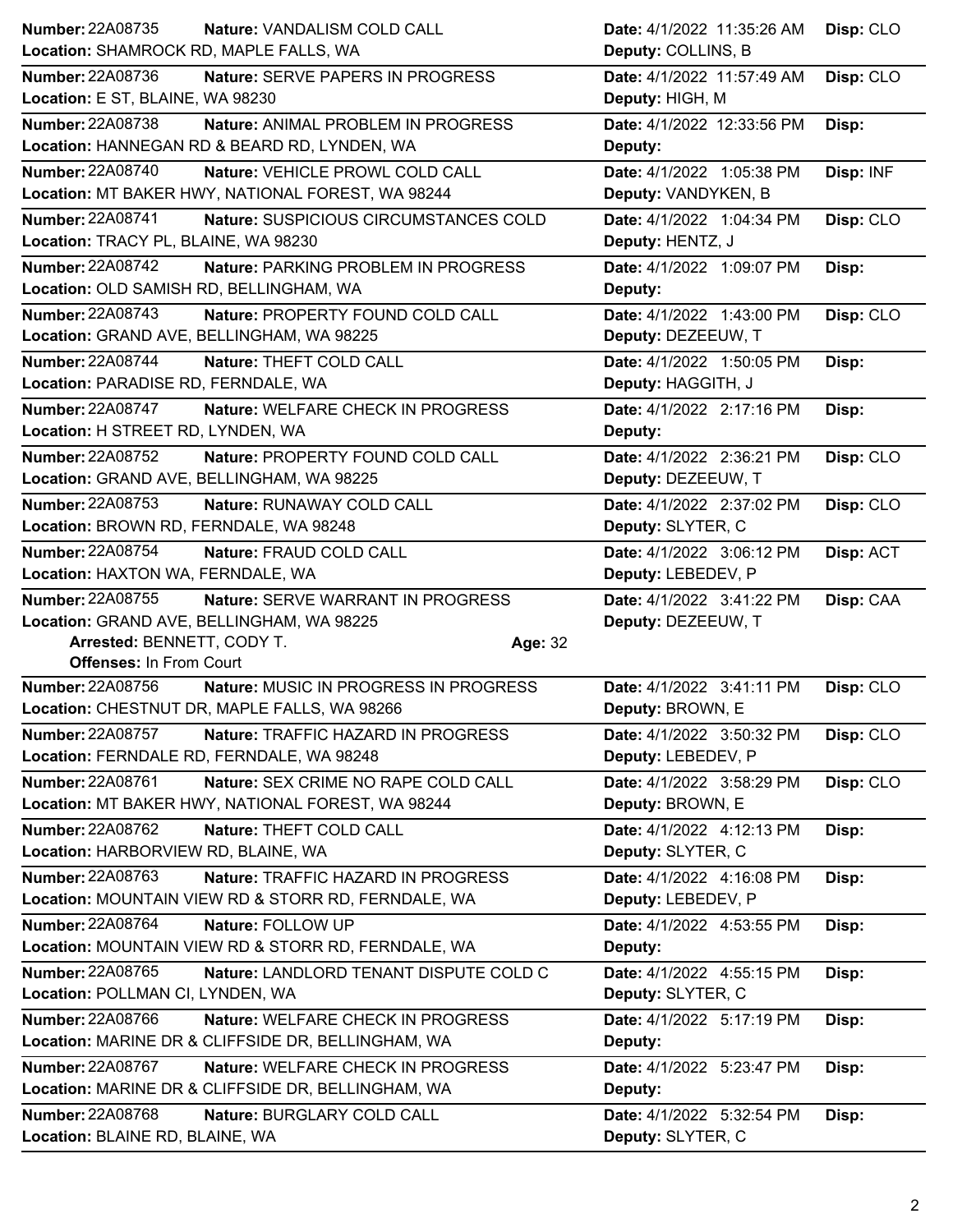| <b>Number: 22A08735</b><br>Nature: VANDALISM COLD CALL        | Date: 4/1/2022 11:35:26 AM<br>Disp: CLO |  |
|---------------------------------------------------------------|-----------------------------------------|--|
| Location: SHAMROCK RD, MAPLE FALLS, WA                        | Deputy: COLLINS, B                      |  |
| <b>Number: 22A08736</b><br>Nature: SERVE PAPERS IN PROGRESS   | Date: 4/1/2022 11:57:49 AM<br>Disp: CLO |  |
| Location: E ST, BLAINE, WA 98230                              | Deputy: HIGH, M                         |  |
| <b>Number: 22A08738</b><br>Nature: ANIMAL PROBLEM IN PROGRESS | Date: 4/1/2022 12:33:56 PM<br>Disp:     |  |
| Location: HANNEGAN RD & BEARD RD, LYNDEN, WA                  | Deputy:                                 |  |
| <b>Number: 22A08740</b><br>Nature: VEHICLE PROWL COLD CALL    | Date: 4/1/2022 1:05:38 PM<br>Disp: INF  |  |
| Location: MT BAKER HWY, NATIONAL FOREST, WA 98244             | Deputy: VANDYKEN, B                     |  |
| Number: 22A08741<br>Nature: SUSPICIOUS CIRCUMSTANCES COLD     | Date: 4/1/2022 1:04:34 PM<br>Disp: CLO  |  |
| Location: TRACY PL, BLAINE, WA 98230                          | Deputy: HENTZ, J                        |  |
| Number: 22A08742<br>Nature: PARKING PROBLEM IN PROGRESS       | Date: 4/1/2022 1:09:07 PM<br>Disp:      |  |
| Location: OLD SAMISH RD, BELLINGHAM, WA                       | Deputy:                                 |  |
| <b>Number: 22A08743</b><br>Nature: PROPERTY FOUND COLD CALL   | Date: 4/1/2022 1:43:00 PM<br>Disp: CLO  |  |
| Location: GRAND AVE, BELLINGHAM, WA 98225                     | Deputy: DEZEEUW, T                      |  |
| Number: 22A08744<br>Nature: THEFT COLD CALL                   | Date: 4/1/2022 1:50:05 PM<br>Disp:      |  |
| Location: PARADISE RD, FERNDALE, WA                           | Deputy: HAGGITH, J                      |  |
| <b>Number: 22A08747</b><br>Nature: WELFARE CHECK IN PROGRESS  | Date: 4/1/2022 2:17:16 PM<br>Disp:      |  |
| Location: H STREET RD, LYNDEN, WA                             | Deputy:                                 |  |
| Number: 22A08752<br>Nature: PROPERTY FOUND COLD CALL          | Date: 4/1/2022 2:36:21 PM<br>Disp: CLO  |  |
| Location: GRAND AVE, BELLINGHAM, WA 98225                     | Deputy: DEZEEUW, T                      |  |
| <b>Number: 22A08753</b><br>Nature: RUNAWAY COLD CALL          | Disp: CLO<br>Date: 4/1/2022 2:37:02 PM  |  |
| Location: BROWN RD, FERNDALE, WA 98248                        | Deputy: SLYTER, C                       |  |
| Number: 22A08754<br>Nature: FRAUD COLD CALL                   | Date: 4/1/2022 3:06:12 PM<br>Disp: ACT  |  |
| Location: HAXTON WA, FERNDALE, WA                             | Deputy: LEBEDEV, P                      |  |
|                                                               |                                         |  |
| <b>Number: 22A08755</b><br>Nature: SERVE WARRANT IN PROGRESS  | Date: 4/1/2022 3:41:22 PM<br>Disp: CAA  |  |
| Location: GRAND AVE, BELLINGHAM, WA 98225                     | Deputy: DEZEEUW, T                      |  |
| Arrested: BENNETT, CODY T.<br>Age: 32                         |                                         |  |
| <b>Offenses: In From Court</b>                                |                                         |  |
| Number: 22A08756<br>Nature: MUSIC IN PROGRESS IN PROGRESS     | Date: 4/1/2022 3:41:11 PM<br>Disp: CLO  |  |
| Location: CHESTNUT DR, MAPLE FALLS, WA 98266                  | Deputy: BROWN, E                        |  |
| Number: 22A08757<br>Nature: TRAFFIC HAZARD IN PROGRESS        | Date: 4/1/2022 3:50:32 PM<br>Disp: CLO  |  |
| Location: FERNDALE RD, FERNDALE, WA 98248                     | Deputy: LEBEDEV, P                      |  |
| Number: 22A08761<br>Nature: SEX CRIME NO RAPE COLD CALL       | Date: 4/1/2022 3:58:29 PM<br>Disp: CLO  |  |
| Location: MT BAKER HWY, NATIONAL FOREST, WA 98244             | Deputy: BROWN, E                        |  |
| <b>Number: 22A08762</b><br>Nature: THEFT COLD CALL            | Date: 4/1/2022 4:12:13 PM<br>Disp:      |  |
| Location: HARBORVIEW RD, BLAINE, WA                           | Deputy: SLYTER, C                       |  |
| <b>Number: 22A08763</b><br>Nature: TRAFFIC HAZARD IN PROGRESS | Date: 4/1/2022 4:16:08 PM<br>Disp:      |  |
| Location: MOUNTAIN VIEW RD & STORR RD, FERNDALE, WA           | Deputy: LEBEDEV, P                      |  |
| Number: 22A08764<br>Nature: FOLLOW UP                         | Date: 4/1/2022 4:53:55 PM<br>Disp:      |  |
| Location: MOUNTAIN VIEW RD & STORR RD, FERNDALE, WA           | Deputy:                                 |  |
| Number: 22A08765<br>Nature: LANDLORD TENANT DISPUTE COLD C    | Date: 4/1/2022 4:55:15 PM<br>Disp:      |  |
| Location: POLLMAN CI, LYNDEN, WA                              | Deputy: SLYTER, C                       |  |
| Number: 22A08766<br>Nature: WELFARE CHECK IN PROGRESS         | Date: 4/1/2022 5:17:19 PM<br>Disp:      |  |
| Location: MARINE DR & CLIFFSIDE DR, BELLINGHAM, WA            | Deputy:                                 |  |
| <b>Number: 22A08767</b><br>Nature: WELFARE CHECK IN PROGRESS  | Date: 4/1/2022 5:23:47 PM<br>Disp:      |  |
| Location: MARINE DR & CLIFFSIDE DR, BELLINGHAM, WA            | Deputy:                                 |  |
| <b>Number: 22A08768</b><br>Nature: BURGLARY COLD CALL         | Date: 4/1/2022 5:32:54 PM<br>Disp:      |  |